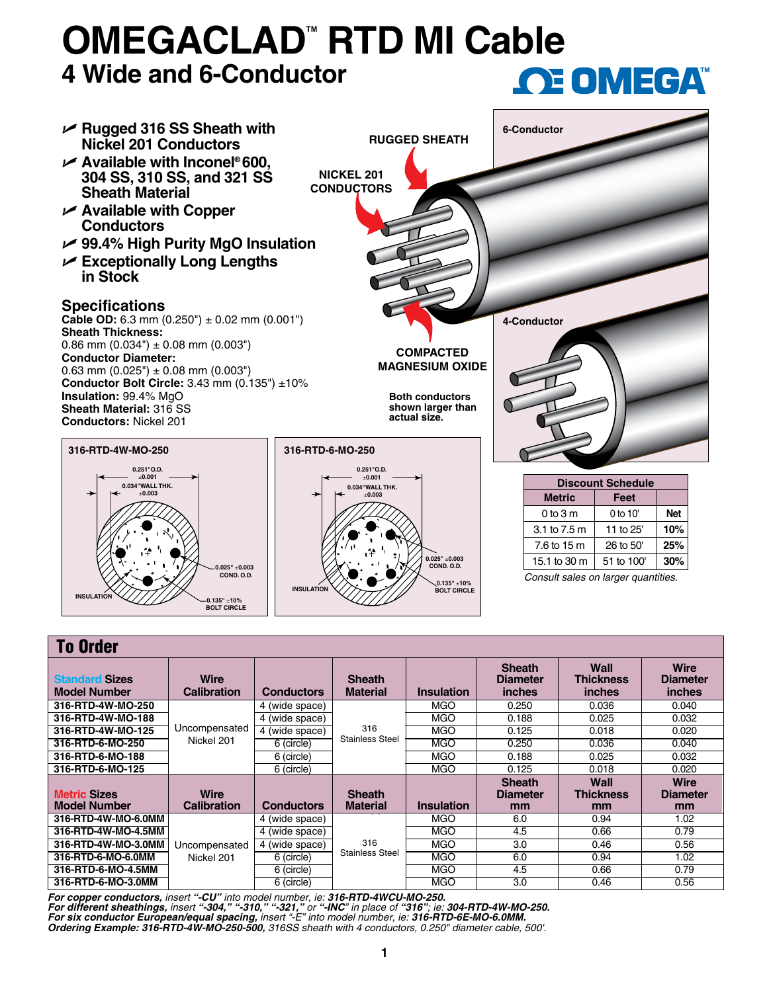## **OMEGACLAD<sup>™</sup> RTD MI Cable 4 Wide and 6-Conductor OE OMEGA**



| <b>To Order</b>                              |                                   |                   |                                  |                   |                                                   |                                           |                                                 |  |  |  |  |
|----------------------------------------------|-----------------------------------|-------------------|----------------------------------|-------------------|---------------------------------------------------|-------------------------------------------|-------------------------------------------------|--|--|--|--|
| <b>Standard Sizes</b><br><b>Model Number</b> | <b>Wire</b><br><b>Calibration</b> | <b>Conductors</b> | <b>Sheath</b><br><b>Material</b> | <b>Insulation</b> | <b>Sheath</b><br><b>Diameter</b><br><i>inches</i> | Wall<br><b>Thickness</b><br><b>inches</b> | <b>Wire</b><br><b>Diameter</b><br><i>inches</i> |  |  |  |  |
| 316-RTD-4W-MO-250                            | Uncompensated                     | 4 (wide space)    | 316<br><b>Stainless Steel</b>    | <b>MGO</b>        | 0.250                                             | 0.036                                     | 0.040                                           |  |  |  |  |
| 316-RTD-4W-MO-188                            |                                   | 4 (wide space)    |                                  | <b>MGO</b>        | 0.188                                             | 0.025                                     | 0.032                                           |  |  |  |  |
| 316-RTD-4W-MO-125                            |                                   | 4 (wide space)    |                                  | <b>MGO</b>        | 0.125                                             | 0.018                                     | 0.020                                           |  |  |  |  |
| 316-RTD-6-MO-250                             | Nickel 201                        | 6 (circle)        |                                  | <b>MGO</b>        | 0.250                                             | 0.036                                     | 0.040                                           |  |  |  |  |
| 316-RTD-6-MO-188                             |                                   | 6 (circle)        |                                  | <b>MGO</b>        | 0.188                                             | 0.025                                     | 0.032                                           |  |  |  |  |
| 316-RTD-6-MO-125                             |                                   | 6 (circle)        |                                  | <b>MGO</b>        | 0.125                                             | 0.018                                     | 0.020                                           |  |  |  |  |
| <b>Metric Sizes</b><br><b>Model Number</b>   | <b>Wire</b><br><b>Calibration</b> | <b>Conductors</b> | <b>Sheath</b><br><b>Material</b> | <b>Insulation</b> | <b>Sheath</b><br><b>Diameter</b><br>mm            | <b>Wall</b><br><b>Thickness</b><br>mm     | <b>Wire</b><br><b>Diameter</b><br>mm            |  |  |  |  |
| 316-RTD-4W-MO-6.0MM                          | Uncompensated<br>Nickel 201       | 4 (wide space)    | 316<br><b>Stainless Steel</b>    | <b>MGO</b>        | 6.0                                               | 0.94                                      | 1.02                                            |  |  |  |  |
| 316-RTD-4W-MO-4.5MM                          |                                   | 4 (wide space)    |                                  | <b>MGO</b>        | 4.5                                               | 0.66                                      | 0.79                                            |  |  |  |  |
| 316-RTD-4W-MO-3.0MM                          |                                   | 4 (wide space)    |                                  | <b>MGO</b>        | 3.0                                               | 0.46                                      | 0.56                                            |  |  |  |  |
| 316-RTD-6-MO-6.0MM                           |                                   | 6 (circle)        |                                  | MGO               | 6.0                                               | 0.94                                      | 1.02                                            |  |  |  |  |
| 316-RTD-6-MO-4.5MM                           |                                   | 6 (circle)        |                                  | <b>MGO</b>        | 4.5                                               | 0.66                                      | 0.79                                            |  |  |  |  |
| 316-RTD-6-MO-3.0MM                           |                                   | 6 (circle)        |                                  | <b>MGO</b>        | 3.0                                               | 0.46                                      | 0.56                                            |  |  |  |  |

*For copper conductors, insert "-CU" into model number, ie: 316-RTD-4WCU-MO-250.* For different sheathings, insert "-304," "-310," "-321," or "-INC" in place of "316"; ie: 304-RTD-4W-MO-250.<br>For six conductor European/equal spacing, insert "-E" into model number, ie: 316-RTD-6E-MO-6.0MM. *Ordering Example: 316-RTD-4W-MO-250-500, 316SS sheath with 4 conductors, 0.250" diameter cable, 500'.*